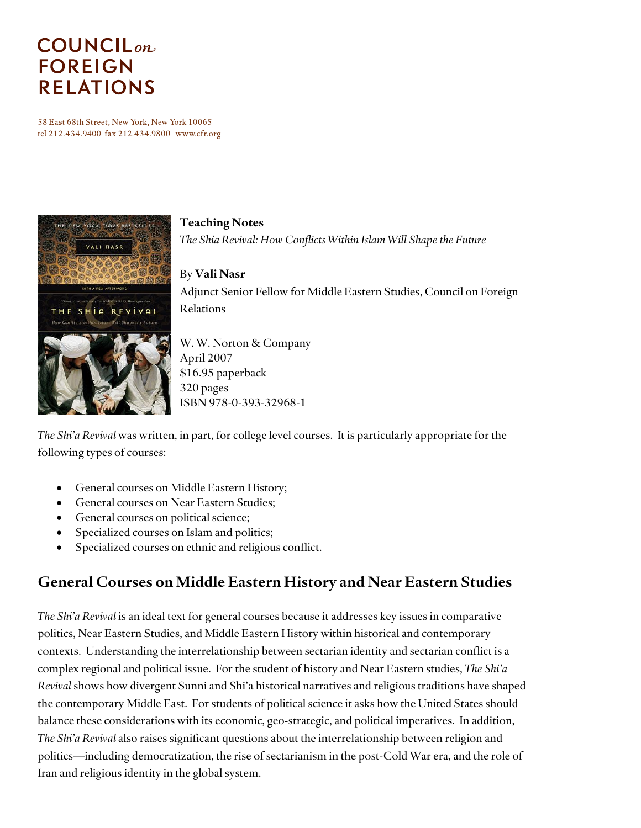# **COUNCIL**<sub>on</sub> **FOREIGN RELATIONS**

58 East 68th Street, New York, New York 10065 tel 212.434.9400 fax 212.434.9800 www.cfr.org



**Teaching Notes** *The Shia Revival: How Conflicts Within Islam Will Shape the Future*

### By **Vali Nasr**

Adjunct Senior Fellow for Middle Eastern Studies, Council on Foreign Relations

W. W. Norton & Company April 2007 \$16.95 paperback 320 pages ISBN 978-0-393-32968-1

*The Shi'a Revival* was written, in part, for college level courses. It is particularly appropriate for the following types of courses:

- General courses on Middle Eastern History;
- General courses on Near Eastern Studies;
- General courses on political science;
- Specialized courses on Islam and politics;
- Specialized courses on ethnic and religious conflict.

### **General Courses on Middle Eastern History and Near Eastern Studies**

*The Shi'a Revival* is an ideal text for general courses because it addresses key issues in comparative politics, Near Eastern Studies, and Middle Eastern History within historical and contemporary contexts. Understanding the interrelationship between sectarian identity and sectarian conflict is a complex regional and political issue. For the student of history and Near Eastern studies, *The Shi'a Revival* shows how divergent Sunni and Shi'a historical narratives and religious traditions have shaped the contemporary Middle East. For students of political science it asks how the United States should balance these considerations with its economic, geo-strategic, and political imperatives. In addition, *The Shi'a Revival* also raises significant questions about the interrelationship between religion and politics—including democratization, the rise of sectarianism in the post-Cold War era, and the role of Iran and religious identity in the global system.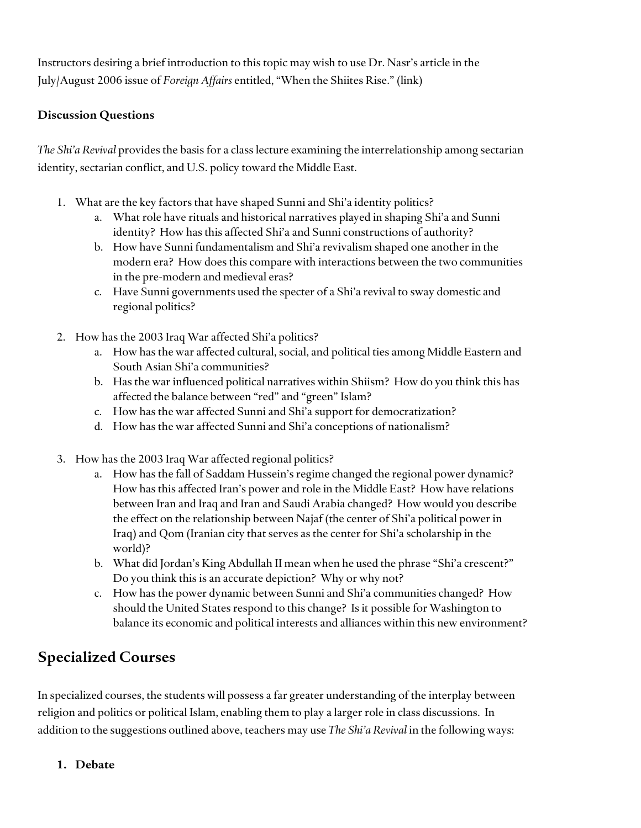Instructors desiring a brief introduction to this topic may wish to use Dr. Nasr's article in the July/August 2006 issue of *Foreign Affairs* entitled, "When the Shiites Rise." (link)

### **Discussion Questions**

*The Shi'a Revival* provides the basis for a class lecture examining the interrelationship among sectarian identity, sectarian conflict, and U.S. policy toward the Middle East.

- 1. What are the key factors that have shaped Sunni and Shi'a identity politics?
	- a. What role have rituals and historical narratives played in shaping Shi'a and Sunni identity? How has this affected Shi'a and Sunni constructions of authority?
	- b. How have Sunni fundamentalism and Shi'a revivalism shaped one another in the modern era? How does this compare with interactions between the two communities in the pre-modern and medieval eras?
	- c. Have Sunni governments used the specter of a Shi'a revival to sway domestic and regional politics?
- 2. How has the 2003 Iraq War affected Shi'a politics?
	- a. How has the war affected cultural, social, and political ties among Middle Eastern and South Asian Shi'a communities?
	- b. Has the war influenced political narratives within Shiism? How do you think this has affected the balance between "red" and "green" Islam?
	- c. How has the war affected Sunni and Shi'a support for democratization?
	- d. How has the war affected Sunni and Shi'a conceptions of nationalism?
- 3. How has the 2003 Iraq War affected regional politics?
	- a. How has the fall of Saddam Hussein's regime changed the regional power dynamic? How has this affected Iran's power and role in the Middle East? How have relations between Iran and Iraq and Iran and Saudi Arabia changed? How would you describe the effect on the relationship between Najaf (the center of Shi'a political power in Iraq) and Qom (Iranian city that serves as the center for Shi'a scholarship in the world)?
	- b. What did Jordan's King Abdullah II mean when he used the phrase "Shi'a crescent?" Do you think this is an accurate depiction? Why or why not?
	- c. How has the power dynamic between Sunni and Shi'a communities changed? How should the United States respond to this change? Is it possible for Washington to balance its economic and political interests and alliances within this new environment?

## **Specialized Courses**

In specialized courses, the students will possess a far greater understanding of the interplay between religion and politics or political Islam, enabling them to play a larger role in class discussions. In addition to the suggestions outlined above, teachers may use *The Shi'a Revival* in the following ways:

### **1. Debate**